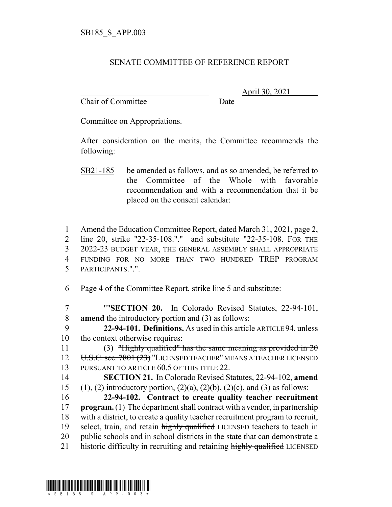## SENATE COMMITTEE OF REFERENCE REPORT

Chair of Committee Date

\_\_\_\_\_\_\_\_\_\_\_\_\_\_\_\_\_\_\_\_\_\_\_\_\_\_\_\_\_\_\_ April 30, 2021

Committee on Appropriations.

After consideration on the merits, the Committee recommends the following:

- SB21-185 be amended as follows, and as so amended, be referred to the Committee of the Whole with favorable recommendation and with a recommendation that it be placed on the consent calendar:
- 1 Amend the Education Committee Report, dated March 31, 2021, page 2, 2 line 20, strike "22-35-108."." and substitute "22-35-108. FOR THE 3 2022-23 BUDGET YEAR, THE GENERAL ASSEMBLY SHALL APPROPRIATE 4 FUNDING FOR NO MORE THAN TWO HUNDRED TREP PROGRAM 5 PARTICIPANTS.".".
- 6 Page 4 of the Committee Report, strike line 5 and substitute:
- 7 ""**SECTION 20.** In Colorado Revised Statutes, 22-94-101, 8 **amend** the introductory portion and (3) as follows:
- 9 **22-94-101. Definitions.** As used in this article ARTICLE 94, unless 10 the context otherwise requires:
- 11 (3) "Highly qualified" has the same meaning as provided in  $2\theta$ 12 U.S.C. sec. 7801 (23) "LICENSED TEACHER" MEANS A TEACHER LICENSED 13 PURSUANT TO ARTICLE 60.5 OF THIS TITLE 22.
- 14 **SECTION 21.** In Colorado Revised Statutes, 22-94-102, **amend** 15 (1), (2) introductory portion,  $(2)(a)$ ,  $(2)(b)$ ,  $(2)(c)$ , and (3) as follows:
- 16 **22-94-102. Contract to create quality teacher recruitment** 17 **program.** (1) The department shall contract with a vendor, in partnership 18 with a district, to create a quality teacher recruitment program to recruit, 19 select, train, and retain highly qualified LICENSED teachers to teach in 20 public schools and in school districts in the state that can demonstrate a 21 historic difficulty in recruiting and retaining highly qualified LICENSED

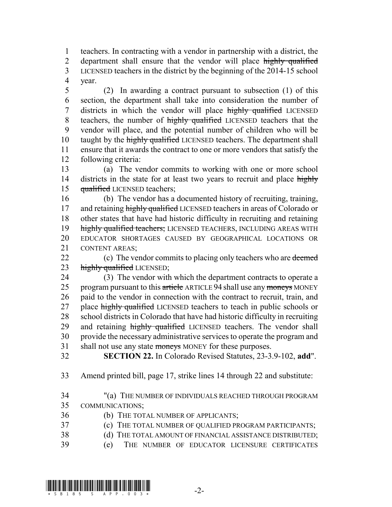1 teachers. In contracting with a vendor in partnership with a district, the 2 department shall ensure that the vendor will place highly qualified 3 LICENSED teachers in the district by the beginning of the 2014-15 school 4 year.

 (2) In awarding a contract pursuant to subsection (1) of this section, the department shall take into consideration the number of 7 districts in which the vendor will place highly qualified LICENSED 8 teachers, the number of highly qualified LICENSED teachers that the vendor will place, and the potential number of children who will be 10 taught by the highly qualified LICENSED teachers. The department shall ensure that it awards the contract to one or more vendors that satisfy the following criteria:

13 (a) The vendor commits to working with one or more school 14 districts in the state for at least two years to recruit and place highly 15 qualified LICENSED teachers;

 (b) The vendor has a documented history of recruiting, training, 17 and retaining highly qualified LICENSED teachers in areas of Colorado or other states that have had historic difficulty in recruiting and retaining 19 highly qualified teachers; LICENSED TEACHERS, INCLUDING AREAS WITH EDUCATOR SHORTAGES CAUSED BY GEOGRAPHICAL LOCATIONS OR CONTENT AREAS;

22 (c) The vendor commits to placing only teachers who are deemed 23 highly qualified LICENSED;

24 (3) The vendor with which the department contracts to operate a 25 program pursuant to this article ARTICLE 94 shall use any moneys MONEY 26 paid to the vendor in connection with the contract to recruit, train, and 27 place highly qualified LICENSED teachers to teach in public schools or 28 school districts in Colorado that have had historic difficulty in recruiting 29 and retaining highly qualified LICENSED teachers. The vendor shall 30 provide the necessary administrative services to operate the program and 31 shall not use any state moneys MONEY for these purposes.

32 **SECTION 22.** In Colorado Revised Statutes, 23-3.9-102, **add**".

33 Amend printed bill, page 17, strike lines 14 through 22 and substitute:

34 "(a) THE NUMBER OF INDIVIDUALS REACHED THROUGH PROGRAM 35 COMMUNICATIONS;

- 36 (b) THE TOTAL NUMBER OF APPLICANTS;
- 37 (c) THE TOTAL NUMBER OF QUALIFIED PROGRAM PARTICIPANTS;
- 38 (d) THE TOTAL AMOUNT OF FINANCIAL ASSISTANCE DISTRIBUTED;
- 39 (e) THE NUMBER OF EDUCATOR LICENSURE CERTIFICATES

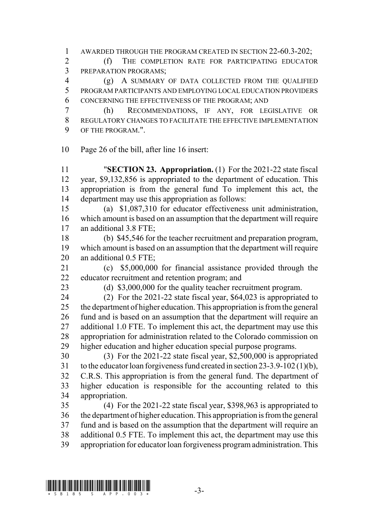AWARDED THROUGH THE PROGRAM CREATED IN SECTION 22-60.3-202;

 (f) THE COMPLETION RATE FOR PARTICIPATING EDUCATOR PREPARATION PROGRAMS;

 (g) A SUMMARY OF DATA COLLECTED FROM THE QUALIFIED PROGRAM PARTICIPANTS AND EMPLOYING LOCAL EDUCATION PROVIDERS CONCERNING THE EFFECTIVENESS OF THE PROGRAM; AND

 (h) RECOMMENDATIONS, IF ANY, FOR LEGISLATIVE OR REGULATORY CHANGES TO FACILITATE THE EFFECTIVE IMPLEMENTATION OF THE PROGRAM.".

Page 26 of the bill, after line 16 insert:

 "**SECTION 23. Appropriation.** (1) For the 2021-22 state fiscal year, \$9,132,856 is appropriated to the department of education. This appropriation is from the general fund To implement this act, the department may use this appropriation as follows:

 (a) \$1,087,310 for educator effectiveness unit administration, which amount is based on an assumption that the department will require an additional 3.8 FTE;

 (b) \$45,546 for the teacher recruitment and preparation program, which amount is based on an assumption that the department will require 20 an additional 0.5 FTE;

 (c) \$5,000,000 for financial assistance provided through the educator recruitment and retention program; and

(d) \$3,000,000 for the quality teacher recruitment program.

 (2) For the 2021-22 state fiscal year, \$64,023 is appropriated to the department of higher education. This appropriation is from the general fund and is based on an assumption that the department will require an 27 additional 1.0 FTE. To implement this act, the department may use this appropriation for administration related to the Colorado commission on higher education and higher education special purpose programs.

 (3) For the 2021-22 state fiscal year, \$2,500,000 is appropriated to the educator loan forgiveness fund created in section 23-3.9-102 (1)(b), C.R.S. This appropriation is from the general fund. The department of higher education is responsible for the accounting related to this appropriation.

 (4) For the 2021-22 state fiscal year, \$398,963 is appropriated to the department of higher education. This appropriation is from the general fund and is based on the assumption that the department will require an additional 0.5 FTE. To implement this act, the department may use this appropriation for educator loan forgiveness program administration. This